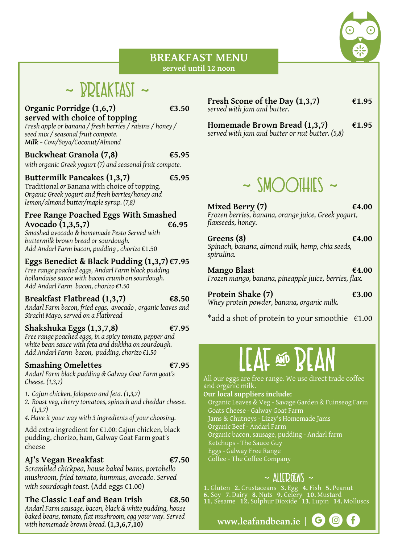#### **BREAKFAST MENU served until 12 noon**

# $\sim$  RDEAKEAST  $\sim$

#### **Organic Porridge (1,6,7) €3.50 served with choice of topping**

*Fresh apple or banana / fresh berries / raisins / honey / seed mix / seasonal fruit compote. Milk – Cow/Soya/Coconut/Almond*

#### **Buckwheat Granola (7,8) €5.95**

*with organic Greek yogurt (7) and seasonal fruit compote.*

#### **Buttermilk Pancakes (1,3,7) €5.95**

Traditional *or* Banana with choice of topping. *Organic Greek yogurt and fresh berries/honey and lemon/almond butter/maple syrup. (7,8)*

#### **Free Range Poached Eggs With Smashed Avocado (1,3,5,7) €6.95**

*Smashed avocado & homemade Pesto Served with buttermilk brown bread or sourdough. Add Andarl Farm bacon, pudding , chorizo* €1.50

#### **Eggs Benedict & Black Pudding (1,3,7) €7.95**

*Free range poached eggs, Andarl Farm black pudding hollandaise sauce with bacon crumb on sourdough. Add Andarl Farm bacon, chorizo €1.50*

#### **Breakfast Flatbread (1,3,7) €8.50**

*Andarl Farm bacon, fried eggs, avocado , organic leaves and Sirachi Mayo, served on a Flatbread* 

#### **Shakshuka Eggs (1,3,7,8) €7.95**

*Free range poached eggs, in a spicy tomato, pepper and white bean sauce with feta and dukkha on sourdough. Add Andarl Farm bacon, pudding, chorizo €1.50*

#### **Smashing Omelettes €7.95**

*Andarl Farm black pudding & Galway Goat Farm goat's Cheese. (1,3,7)*

- *1. Cajun chicken, Jalapeno and feta. (1,3,7)*
- *2. Roast veg, cherry tomatoes, spinach and cheddar cheese. (1,3,7)*
- *4. Have it your way with 3 ingredients of your choosing.*

Add extra ingredient for €1.00: Cajun chicken, black pudding, chorizo, ham, Galway Goat Farm goat's cheese

### **AJ's Vegan Breakfast €7.50**

*Scrambled chickpea, house baked beans, portobello mushroom, fried tomato, hummus, avocado. Served with sourdough toast.* (Add eggs €1.00)

### **The Classic Leaf and Bean Irish €8.50**

*Andarl Farm sausage, bacon, black & white pudding, house baked beans, tomato, flat mushroom, egg your way. Served with homemade brown bread.* **(1,3,6,7,10)**

#### **Fresh Scone of the Day**  $(1,3,7)$   $\epsilon$ 1.95 *served with jam and butter.*

**Homemade Brown Bread (1,3,7) €1.95** *served with jam and butter or nut butter. (5,8)*

# $\sim$  SMOOTHIES  $\sim$

**Mixed Berry (7) €4.00** *Frozen berries, banana, orange juice, Greek yogurt, flaxseeds, honey.*

**Greens (8)**  $\epsilon$ 4.00 *Spinach, banana, almond milk, hemp, chia seeds, spirulina.*

**Mango Blast €4.00** *Frozen mango, banana, pineapple juice, berries, flax.*

**Protein Shake (7) €3.00** *Whey protein powder, banana, organic milk.*

\*add a shot of protein to your smoothie  $\epsilon$ 1.00

All our eggs are free range. We use direct trade coffee and organic milk.

#### **Our local suppliers include:**

Organic Leaves & Veg - Savage Garden & Fuinseog Farm Goats Cheese - Galway Goat Farm

- Jams & Chutneys Lizzy's Homemade Jams
- Organic Beef Andarl Farm
- Organic bacon, sausage, pudding Andarl farm
- Ketchups The Sauce Guy
- Eggs Galway Free Range
- Coffee The Coffee Company

### $\sim$  ALLEQGENS  $\sim$

**1.** Gluten **2.** Crustaceans **3.** Egg **4.** Fish **5.** Peanut **6.** Soy **7**. Dairy **8.** Nuts **9.** Celery **10.** Mustard **11.** Sesame **12.** Sulphur Dioxide **13.** Lupin **14.** Molluscs

**www.leafandbean.ie**